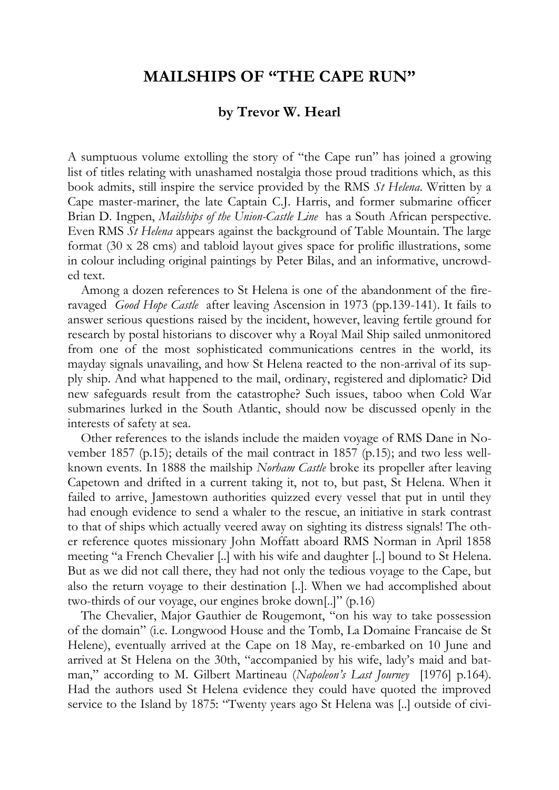## **MAILSHIPS OF "THE CAPE RUN"**

## **by Trevor W. Hearl**

A sumptuous volume extolling the story of "the Cape run" has joined a growing list of titles relating with unashamed nostalgia those proud traditions which, as this book admits, still inspire the service provided by the RMS *St Helena*. Written by a Cape master-mariner, the late Captain C.J. Harris, and former submarine officer Brian D. Ingpen, *Mailships of the Union-Castle Line* has a South African perspective. Even RMS *St Helena* appears against the background of Table Mountain. The large format (30 x 28 cms) and tabloid layout gives space for prolific illustrations, some in colour including original paintings by Peter Bilas, and an informative, uncrowded text.

Among a dozen references to St Helena is one of the abandonment of the fireravaged *Good Hope Castle* after leaving Ascension in 1973 (pp.139-141). It fails to answer serious questions raised by the incident, however, leaving fertile ground for research by postal historians to discover why a Royal Mail Ship sailed unmonitored from one of the most sophisticated communications centres in the world, its mayday signals unavailing, and how St Helena reacted to the non-arrival of its supply ship. And what happened to the mail, ordinary, registered and diplomatic? Did new safeguards result from the catastrophe? Such issues, taboo when Cold War submarines lurked in the South Atlantic, should now be discussed openly in the interests of safety at sea.

Other references to the islands include the maiden voyage of RMS Dane in November 1857 (p.15); details of the mail contract in 1857 (p.15); and two less wellknown events. In 1888 the mailship *Norham Castle* broke its propeller after leaving Capetown and drifted in a current taking it, not to, but past, St Helena. When it failed to arrive, Jamestown authorities quizzed every vessel that put in until they had enough evidence to send a whaler to the rescue, an initiative in stark contrast to that of ships which actually veered away on sighting its distress signals! The other reference quotes missionary John Moffatt aboard RMS Norman in April 1858 meeting "a French Chevalier [..] with his wife and daughter [..] bound to St Helena. But as we did not call there, they had not only the tedious voyage to the Cape, but also the return voyage to their destination [..]. When we had accomplished about two-thirds of our voyage, our engines broke down[..]" (p.16)

The Chevalier, Major Gauthier de Rougemont, "on his way to take possession of the domain" (i.e. Longwood House and the Tomb, La Domaine Francaise de St Helene), eventually arrived at the Cape on 18 May, re-embarked on 10 June and arrived at St Helena on the 30th, "accompanied by his wife, lady's maid and batman," according to M. Gilbert Martineau (*Napoleon's Last Journey* [1976] p.164). Had the authors used St Helena evidence they could have quoted the improved service to the Island by 1875: "Twenty years ago St Helena was [..] outside of civi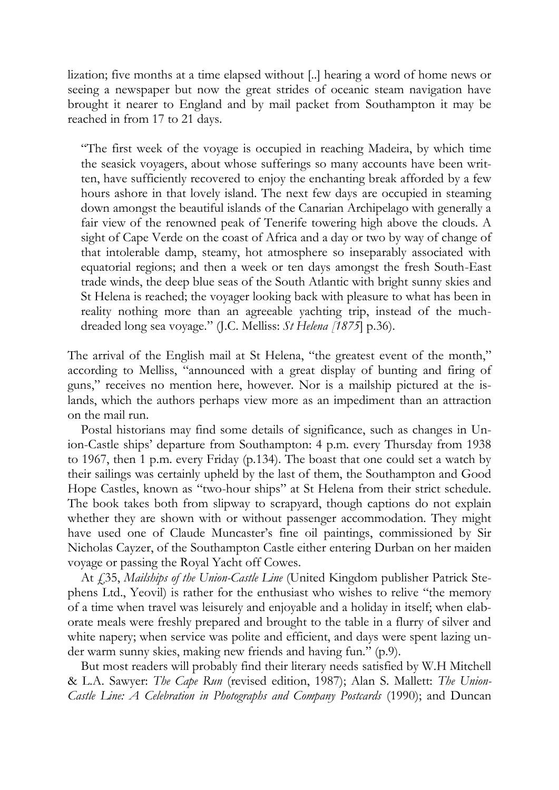lization; five months at a time elapsed without [..] hearing a word of home news or seeing a newspaper but now the great strides of oceanic steam navigation have brought it nearer to England and by mail packet from Southampton it may be reached in from 17 to 21 days.

"The first week of the voyage is occupied in reaching Madeira, by which time the seasick voyagers, about whose sufferings so many accounts have been written, have sufficiently recovered to enjoy the enchanting break afforded by a few hours ashore in that lovely island. The next few days are occupied in steaming down amongst the beautiful islands of the Canarian Archipelago with generally a fair view of the renowned peak of Tenerife towering high above the clouds. A sight of Cape Verde on the coast of Africa and a day or two by way of change of that intolerable damp, steamy, hot atmosphere so inseparably associated with equatorial regions; and then a week or ten days amongst the fresh South-East trade winds, the deep blue seas of the South Atlantic with bright sunny skies and St Helena is reached; the voyager looking back with pleasure to what has been in reality nothing more than an agreeable yachting trip, instead of the muchdreaded long sea voyage." (J.C. Melliss: *St Helena [1875*] p.36).

The arrival of the English mail at St Helena, "the greatest event of the month," according to Melliss, "announced with a great display of bunting and firing of guns," receives no mention here, however. Nor is a mailship pictured at the islands, which the authors perhaps view more as an impediment than an attraction on the mail run.

Postal historians may find some details of significance, such as changes in Union-Castle ships' departure from Southampton: 4 p.m. every Thursday from 1938 to 1967, then 1 p.m. every Friday (p.134). The boast that one could set a watch by their sailings was certainly upheld by the last of them, the Southampton and Good Hope Castles, known as "two-hour ships" at St Helena from their strict schedule. The book takes both from slipway to scrapyard, though captions do not explain whether they are shown with or without passenger accommodation. They might have used one of Claude Muncaster's fine oil paintings, commissioned by Sir Nicholas Cayzer, of the Southampton Castle either entering Durban on her maiden voyage or passing the Royal Yacht off Cowes.

At £35, *Mailships of the Union-Castle Line* (United Kingdom publisher Patrick Stephens Ltd., Yeovil) is rather for the enthusiast who wishes to relive "the memory of a time when travel was leisurely and enjoyable and a holiday in itself; when elaborate meals were freshly prepared and brought to the table in a flurry of silver and white napery; when service was polite and efficient, and days were spent lazing under warm sunny skies, making new friends and having fun." (p.9).

But most readers will probably find their literary needs satisfied by W.H Mitchell & L.A. Sawyer: *The Cape Run* (revised edition, 1987); Alan S. Mallett: *The Union-Castle Line: A Celebration in Photographs and Company Postcards* (1990); and Duncan